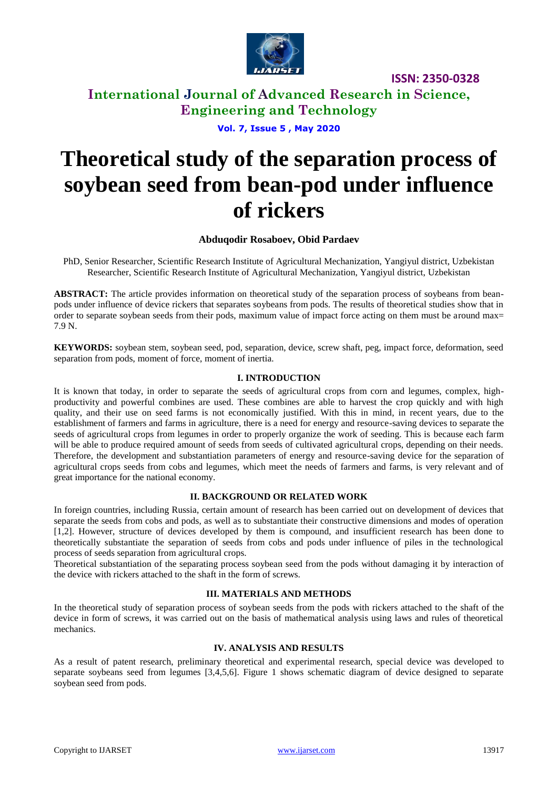

# **International Journal of Advanced Research in Science, Engineering and Technology**

**Vol. 7, Issue 5 , May 2020**

# **Theoretical study of the separation process of soybean seed from bean-pod under influence of rickers**

## **Abduqodir Rosaboev, Obid Pardaev**

PhD, Senior Researcher, Scientific Research Institute of Agricultural Mechanization, Yangiyul district, Uzbekistan Researcher, Scientific Research Institute of Agricultural Mechanization, Yangiyul district, Uzbekistan

**ABSTRACT:** The article provides information on theoretical study of the separation process of soybeans from beanpods under influence of device rickers that separates soybeans from pods. The results of theoretical studies show that in order to separate soybean seeds from their pods, maximum value of impact force acting on them must be around max= 7.9 N.

**KEYWORDS:** soybean stem, soybean seed, pod, separation, device, screw shaft, peg, impact force, deformation, seed separation from pods, moment of force, moment of inertia.

## **I. INTRODUCTION**

It is known that today, in order to separate the seeds of agricultural crops from corn and legumes, complex, highproductivity and powerful combines are used. These combines are able to harvest the crop quickly and with high quality, and their use on seed farms is not economically justified. With this in mind, in recent years, due to the establishment of farmers and farms in agriculture, there is a need for energy and resource-saving devices to separate the seeds of agricultural crops from legumes in order to properly organize the work of seeding. This is because each farm will be able to produce required amount of seeds from seeds of cultivated agricultural crops, depending on their needs. Therefore, the development and substantiation parameters of energy and resource-saving device for the separation of agricultural crops seeds from cobs and legumes, which meet the needs of farmers and farms, is very relevant and of great importance for the national economy.

#### **II. BACKGROUND OR RELATED WORK**

In foreign countries, including Russia, certain amount of research has been carried out on development of devices that separate the seeds from cobs and pods, as well as to substantiate their constructive dimensions and modes of operation [1,2]. However, structure of devices developed by them is compound, and insufficient research has been done to theoretically substantiate the separation of seeds from cobs and pods under influence of piles in the technological process of seeds separation from agricultural crops.

Theoretical substantiation of the separating process soybean seed from the pods without damaging it by interaction of the device with rickers attached to the shaft in the form of screws.

#### **III. MATERIALS AND METHODS**

In the theoretical study of separation process of soybean seeds from the pods with rickers attached to the shaft of the device in form of screws, it was carried out on the basis of mathematical analysis using laws and rules of theoretical mechanics.

#### **IV. ANALYSIS AND RESULTS**

As a result of patent research, preliminary theoretical and experimental research, special device was developed to separate soybeans seed from legumes [3,4,5,6]. Figure 1 shows schematic diagram of device designed to separate soybean seed from pods.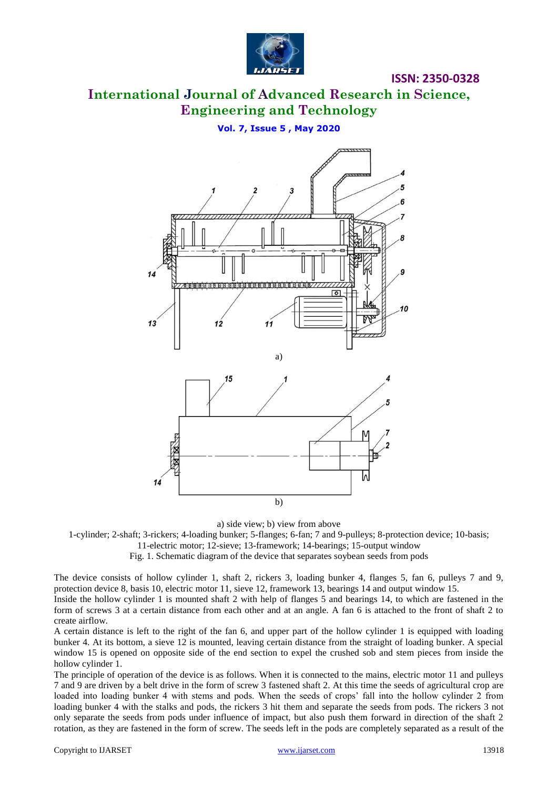

## **International Journal of Advanced Research in Science, Engineering and Technology Қишлоқ хўжалик экинларининг уруғини пояси ёки бошоғидан**

**Vol. 7, Issue 5, May 2020 Vol. 7, Issue 5 , May 2020** 



a) side view; b) view from above

1-cylinder; 2-shaft; 3-rickers; 4-loading bunker; 5-flanges; 6-fan; 7 and 9-pulleys; 8-protection device; 10-basis;

11-electric motor; 12-sieve; 13-framework; 14-bearings; 15-output window

Fig. 1. Schematic diagram of the device that separates soybean seeds from pods

The device consists of hollow cylinder 1, shaft 2, rickers 3, loading bunker 4, flanges 5, fan 6, pulleys 7 and 9, protection device 8, basis 10, electric motor 11, sieve 12, framework 13, bearings 14 and output window 15.

Inside the hollow cylinder 1 is mounted shaft 2 with help of flanges 5 and bearings 14, to which are fastened in the form of screws 3 at a certain distance from each other and at an angle. A fan 6 is attached to the front of shaft 2 to create airflow.

A certain distance is left to the right of the fan 6, and upper part of the hollow cylinder 1 is equipped with loading bunker 4. At its bottom, a sieve 12 is mounted, leaving certain distance from the straight of loading bunker. A special window 15 is opened on opposite side of the end section to expel the crushed sob and stem pieces from inside the hollow cylinder 1.

The principle of operation of the device is as follows. When it is connected to the mains, electric motor 11 and pulleys 7 and 9 are driven by a belt drive in the form of screw 3 fastened shaft 2. At this time the seeds of agricultural crop are loaded into loading bunker 4 with stems and pods. When the seeds of crops' fall into the hollow cylinder 2 from loading bunker 4 with the stalks and pods, the rickers 3 hit them and separate the seeds from pods. The rickers 3 not only separate the seeds from pods under influence of impact, but also push them forward in direction of the shaft 2 rotation, as they are fastened in the form of screw. The seeds left in the pods are completely separated as a result of the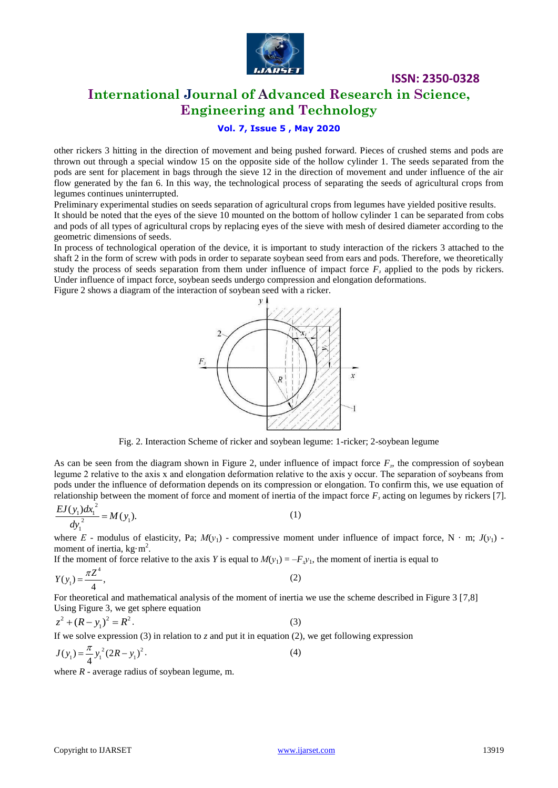

# **International Journal of Advanced Research in Science, Engineering and Technology**

## **Vol. 7, Issue 5 , May 2020**

other rickers 3 hitting in the direction of movement and being pushed forward. Pieces of crushed stems and pods are thrown out through a special window 15 on the opposite side of the hollow cylinder 1. The seeds separated from the pods are sent for placement in bags through the sieve 12 in the direction of movement and under influence of the air flow generated by the fan 6. In this way, the technological process of separating the seeds of agricultural crops from legumes continues uninterrupted.

Preliminary experimental studies on seeds separation of agricultural crops from legumes have yielded positive results. It should be noted that the eyes of the sieve 10 mounted on the bottom of hollow cylinder 1 can be separated from cobs and pods of all types of agricultural crops by replacing eyes of the sieve with mesh of desired diameter according to the geometric dimensions of seeds.

In process of technological operation of the device, it is important to study interaction of the rickers 3 attached to the shaft 2 in the form of screw with pods in order to separate soybean seed from ears and pods. Therefore, we theoretically study the process of seeds separation from them under influence of impact force *F<sup>з</sup>* applied to the pods by rickers. Under influence of impact force, soybean seeds undergo compression and elongation deformations.

Figure 2 shows a diagram of the interaction of soybean seed with a ricker.



Fig. 2. Interaction Scheme of ricker and soybean legume: 1-ricker; 2-soybean legume

As can be seen from the diagram shown in Figure 2, under influence of impact force  $F<sub>3</sub>$ , the compression of soybean legume 2 relative to the axis х and elongation deformation relative to the axis y occur. The separation of soybeans from pods under the influence of deformation depends on its compression or elongation. To confirm this, we use equation of relationship between the moment of force and moment of inertia of the impact force *F<sup>з</sup>* acting on legumes by rickers [7].

$$
\frac{EJ(y_1)dx_1^2}{dy_1^2} = M(y_1).
$$
 (1)

where *E* - modulus of elasticity, Pa;  $M(y_1)$  - compressive moment under influence of impact force, N · m;  $J(y_1)$  moment of inertia,  $kg·m<sup>2</sup>$ .

If the moment of force relative to the axis *Y* is equal to  $M(y_1) = -F_y y_1$ , the moment of inertia is equal to

$$
Y(y_1) = \frac{\pi Z^4}{4},
$$
 (2)

For theoretical and mathematical analysis of the moment of inertia we use the scheme described in Figure 3 [7,8] Using Figure 3, we get sphere equation

$$
z^{2} + (R - y_{1})^{2} = R^{2}
$$
 (3)  
If we solve expression (3) in relation to z and put it in equation (2), we get following expression  

$$
J(y_{1}) = \frac{\pi}{4} y_{1}^{2} (2R - y_{1})^{2}
$$
 (4)

where  *- average radius of soybean legume, m.*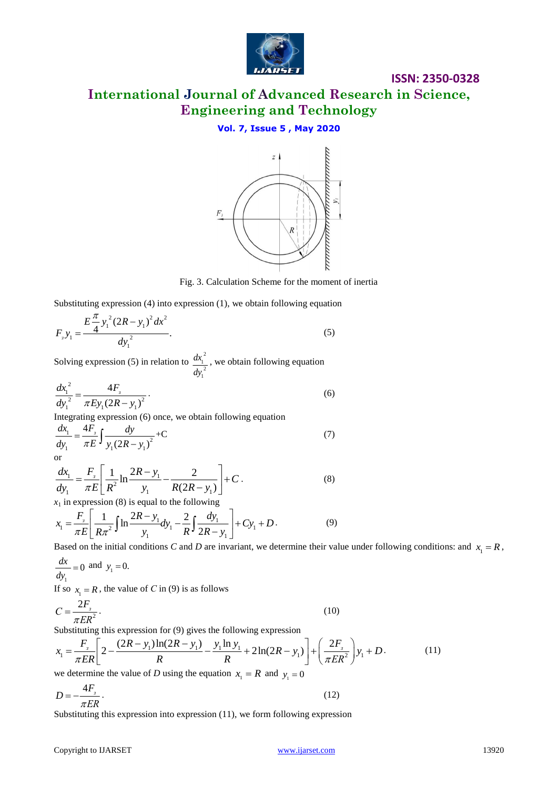

**International Journal of Advanced Research in Science, Engineering and Technology**

## **Vol. 7, Issue 5 , May 2020**



Fig. 3. Calculation Scheme for the moment of inertia

Substituting expression (4) into expression (1), we obtain following equation

$$
F_{3}y_{1} = \frac{E\frac{\pi}{4}y_{1}^{2}(2R - y_{1})^{2}dx^{2}}{dy_{1}^{2}}.
$$
\n(5)

Solving expression (5) in relation to  $\frac{dx_1^2}{dx_1^2}$  $\frac{1}{2}$ 1 *dx dy* , we obtain following equation

$$
\frac{dx_1^2}{dy_1^2} = \frac{4F_s}{\pi E y_1 (2R - y_1)^2}.
$$
\n(6)

Integrating expression (6) once, we obtain following equation

$$
\frac{dx_1}{dy_1} = \frac{4F_s}{\pi E} \int \frac{dy}{y_1(2R - y_1)^2} + C
$$
\nor\n(7)

or  
\n
$$
\frac{dx_1}{dy_1} = \frac{F_s}{\pi E} \left[ \frac{1}{R^2} \ln \frac{2R - y_1}{y_1} - \frac{2}{R(2R - y_1)} \right] + C.
$$
\n(8)

$$
dy_1 \qquad \pi E \left[ R^2 \qquad y_1 \qquad R(2R - y_1) \right]
$$
  
\n
$$
x_1 \text{ in expression (8) is equal to the following}
$$
  
\n
$$
x_1 = \frac{F_s}{\pi E} \left[ \frac{1}{R\pi^2} \int \ln \frac{2R - y_1}{y_1} dy_1 - \frac{2}{R} \int \frac{dy_1}{2R - y_1} \right] + Cy_1 + D.
$$
 (9)

Based on the initial conditions *C* and *D* are invariant, we determine their value under following conditions: and  $x_1 = R$ ,

$$
\frac{dx}{dy_1} = 0 \text{ and } y_1 = 0.
$$

If so  $x_1 = R$ , the value of *C* in (9) is as follows

$$
C = \frac{2F_s}{\pi ER^2}.
$$
\n<sup>(10)</sup>

$$
C = \frac{2F_s}{\pi ER^2}.
$$
\nSubstituting this expression for (9) gives the following expression

\n
$$
x_1 = \frac{F_s}{\pi ER} \left[ 2 - \frac{(2R - y_1)\ln(2R - y_1)}{R} - \frac{y_1 \ln y_1}{R} + 2\ln(2R - y_1) \right] + \left( \frac{2F_s}{\pi ER^2} \right) y_1 + D.
$$
\nWe determine the value of *D* using the equation  $x = R$  and  $y_1 = 0$ .

\n(11)

we determine the value of *D* using the equation  $x_1 = R$  and  $y_1 = 0$ 

$$
D = -\frac{4F_s}{\pi ER}.
$$
\n(12)

Substituting this expression into expression (11), we form following expression